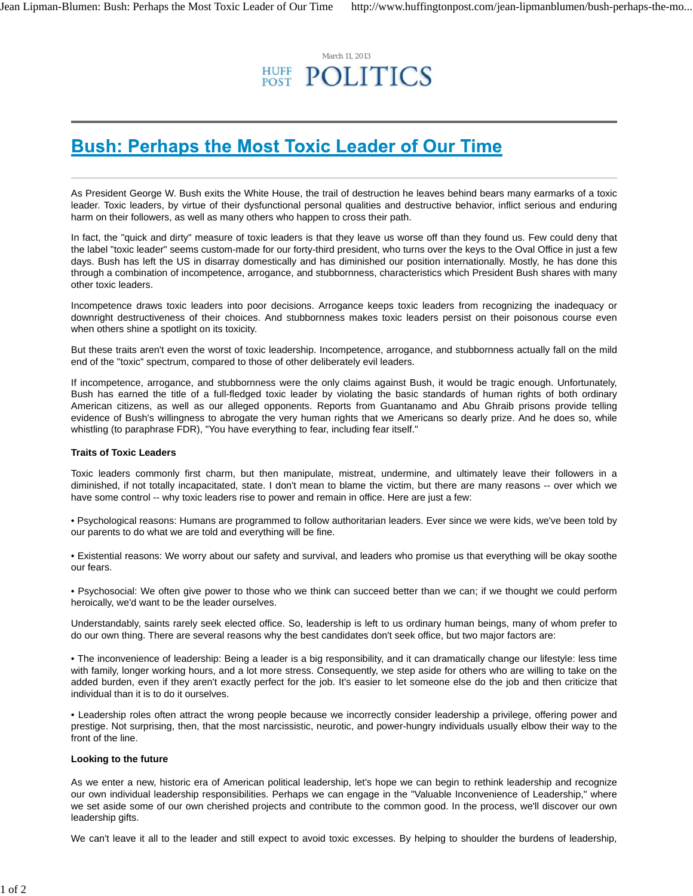## March 11, 2013 **HUFF POLITICS**

## **Bush: Perhaps the Most Toxic Leader of Our Time**

As President George W. Bush exits the White House, the trail of destruction he leaves behind bears many earmarks of a toxic leader. Toxic leaders, by virtue of their dysfunctional personal qualities and destructive behavior, inflict serious and enduring harm on their followers, as well as many others who happen to cross their path.

In fact, the "quick and dirty" measure of toxic leaders is that they leave us worse off than they found us. Few could deny that the label "toxic leader" seems custom-made for our forty-third president, who turns over the keys to the Oval Office in just a few days. Bush has left the US in disarray domestically and has diminished our position internationally. Mostly, he has done this through a combination of incompetence, arrogance, and stubbornness, characteristics which President Bush shares with many other toxic leaders.

Incompetence draws toxic leaders into poor decisions. Arrogance keeps toxic leaders from recognizing the inadequacy or downright destructiveness of their choices. And stubbornness makes toxic leaders persist on their poisonous course even when others shine a spotlight on its toxicity.

But these traits aren't even the worst of toxic leadership. Incompetence, arrogance, and stubbornness actually fall on the mild end of the "toxic" spectrum, compared to those of other deliberately evil leaders.

If incompetence, arrogance, and stubbornness were the only claims against Bush, it would be tragic enough. Unfortunately, Bush has earned the title of a full-fledged toxic leader by violating the basic standards of human rights of both ordinary American citizens, as well as our alleged opponents. Reports from Guantanamo and Abu Ghraib prisons provide telling evidence of Bush's willingness to abrogate the very human rights that we Americans so dearly prize. And he does so, while whistling (to paraphrase FDR), "You have everything to fear, including fear itself."

## **Traits of Toxic Leaders**

Toxic leaders commonly first charm, but then manipulate, mistreat, undermine, and ultimately leave their followers in a diminished, if not totally incapacitated, state. I don't mean to blame the victim, but there are many reasons -- over which we have some control -- why toxic leaders rise to power and remain in office. Here are just a few:

• Psychological reasons: Humans are programmed to follow authoritarian leaders. Ever since we were kids, we've been told by our parents to do what we are told and everything will be fine.

• Existential reasons: We worry about our safety and survival, and leaders who promise us that everything will be okay soothe our fears.

• Psychosocial: We often give power to those who we think can succeed better than we can; if we thought we could perform heroically, we'd want to be the leader ourselves.

Understandably, saints rarely seek elected office. So, leadership is left to us ordinary human beings, many of whom prefer to do our own thing. There are several reasons why the best candidates don't seek office, but two major factors are:

• The inconvenience of leadership: Being a leader is a big responsibility, and it can dramatically change our lifestyle: less time with family, longer working hours, and a lot more stress. Consequently, we step aside for others who are willing to take on the added burden, even if they aren't exactly perfect for the job. It's easier to let someone else do the job and then criticize that individual than it is to do it ourselves.

• Leadership roles often attract the wrong people because we incorrectly consider leadership a privilege, offering power and prestige. Not surprising, then, that the most narcissistic, neurotic, and power-hungry individuals usually elbow their way to the front of the line.

## **Looking to the future**

As we enter a new, historic era of American political leadership, let's hope we can begin to rethink leadership and recognize our own individual leadership responsibilities. Perhaps we can engage in the "Valuable Inconvenience of Leadership," where we set aside some of our own cherished projects and contribute to the common good. In the process, we'll discover our own leadership gifts.

We can't leave it all to the leader and still expect to avoid toxic excesses. By helping to shoulder the burdens of leadership,